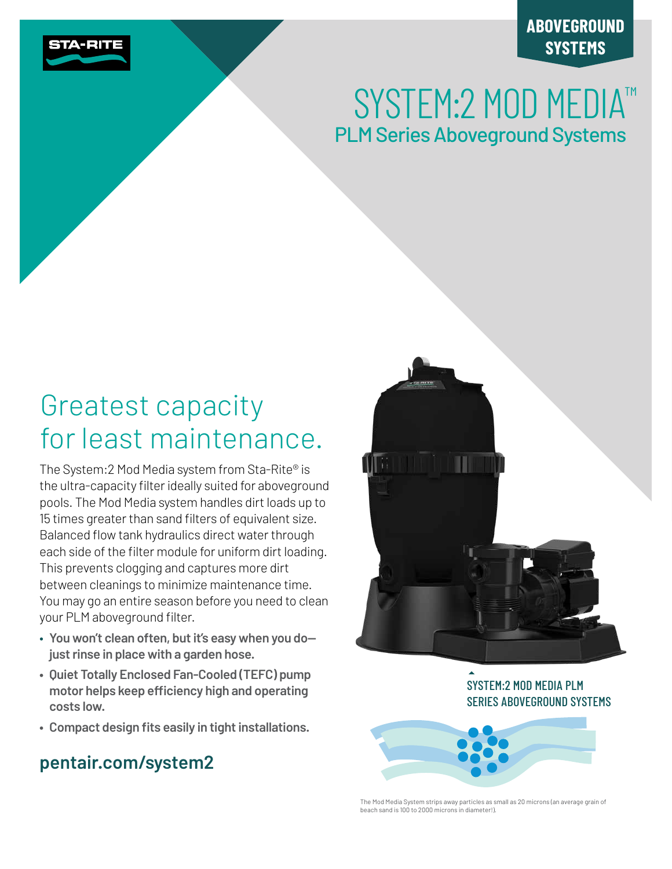

# **ABOVEGROUND SYSTEMS**

# SYSTEM: 2 MOD MEDIA™ PLM Series Aboveground Systems

# Greatest capacity for least maintenance.

The System:2 Mod Media system from Sta-Rite® is the ultra-capacity filter ideally suited for aboveground pools. The Mod Media system handles dirt loads up to 15 times greater than sand filters of equivalent size. Balanced flow tank hydraulics direct water through each side of the filter module for uniform dirt loading. This prevents clogging and captures more dirt between cleanings to minimize maintenance time. You may go an entire season before you need to clean your PLM aboveground filter.

- **You won't clean often, but it's easy when you do just rinse in place with a garden hose.**
- **Quiet Totally Enclosed Fan-Cooled (TEFC) pump motor helps keep efficiency high and operating costs low.**
- **• Compact design fits easily in tight installations.**

# **pentair.com/system2**



SYSTEM:2 MOD MEDIA PLM SERIES ABOVEGROUND SYSTEMS



The Mod Media System strips away particles as small as 20 microns (an average grain of beach sand is 100 to 2000 microns in diameter!).